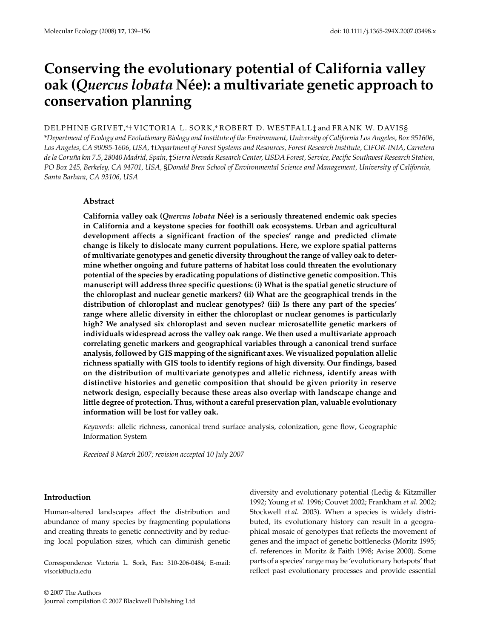# Blackwell Publishing Ltd **Conserving the evolutionary potential of California valley oak (***Quercus lobata* **Née): a multivariate genetic approach to conservation planning**

## DELPHINE GRIVET,\*† VICTORIA L. SORK,\* ROBERT D. WESTFALL‡ and FRANK W. DAVIS§

\*Department of Ecology and Evolutionary Biology and Institute of the Environment, University of California Los Angeles, Box 951606, Los Angeles, CA 90095-1606, USA, +Department of Forest Systems and Resources, Forest Research Institute, CIFOR-INIA, Carretera de la Coruña km 7.5, 28040 Madrid, Spain, ‡Sierra Nevada Research Center, USDA Forest, Service, Pacific Southwest Research Station, PO Box 245, Berkeley, CA 94701, USA, SDonald Bren School of Environmental Science and Management, University of California, *Santa Barbara, CA 93106, USA*

## **Abstract**

**California valley oak (***Quercus lobata* **Née) is a seriously threatened endemic oak species in California and a keystone species for foothill oak ecosystems. Urban and agricultural development affects a significant fraction of the species' range and predicted climate change is likely to dislocate many current populations. Here, we explore spatial patterns of multivariate genotypes and genetic diversity throughout the range of valley oak to determine whether ongoing and future patterns of habitat loss could threaten the evolutionary potential of the species by eradicating populations of distinctive genetic composition. This manuscript will address three specific questions: (i) What is the spatial genetic structure of the chloroplast and nuclear genetic markers? (ii) What are the geographical trends in the distribution of chloroplast and nuclear genotypes? (iii) Is there any part of the species' range where allelic diversity in either the chloroplast or nuclear genomes is particularly high? We analysed six chloroplast and seven nuclear microsatellite genetic markers of individuals widespread across the valley oak range. We then used a multivariate approach correlating genetic markers and geographical variables through a canonical trend surface analysis,followed by GIS mapping ofthe significant axes. We visualized population allelic richness spatially with GIS tools to identify regions of high diversity. Our findings, based on the distribution of multivariate genotypes and allelic richness, identify areas with distinctive histories and genetic composition that should be given priority in reserve network design, especially because these areas also overlap with landscape change and little degree of protection. Thus, without a careful preservation plan, valuable evolutionary information will be lost for valley oak.**

*Keywords*: allelic richness, canonical trend surface analysis, colonization, gene flow, Geographic Information System

*Received 8 March 2007; revision accepted 10 July 2007*

## **Introduction**

Human-altered landscapes affect the distribution and abundance of many species by fragmenting populations and creating threats to genetic connectivity and by reducing local population sizes, which can diminish genetic

Correspondence: Victoria L. Sork, Fax: 310-206-0484; E-mail: vlsork@ucla.edu

diversity and evolutionary potential (Ledig & Kitzmiller 1992; Young *et al*. 1996; Couvet 2002; Frankham *et al*. 2002; Stockwell *et al*. 2003). When a species is widely distributed, its evolutionary history can result in a geographical mosaic of genotypes that reflects the movement of genes and the impact of genetic bottlenecks (Moritz 1995; cf. references in Moritz & Faith 1998; Avise 2000). Some parts of a species'range may be 'evolutionary hotspots' that reflect past evolutionary processes and provide essential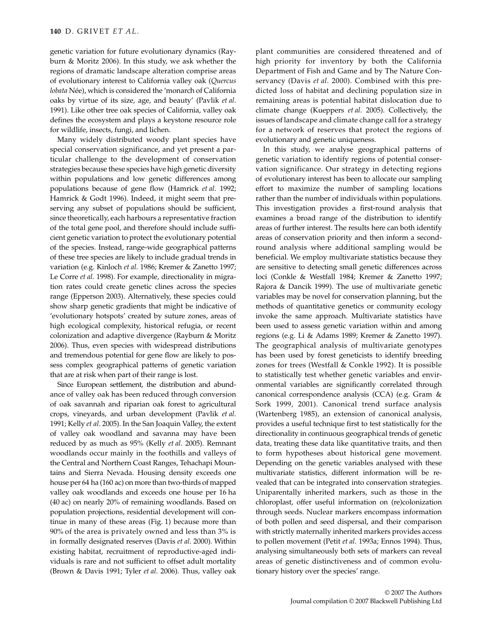genetic variation for future evolutionary dynamics (Rayburn & Moritz 2006). In this study, we ask whether the regions of dramatic landscape alteration comprise areas of evolutionary interest to California valley oak (*Quercus lobata* Née), which is considered the 'monarch of California oaks by virtue of its size, age, and beauty' (Pavlik *et al*. 1991). Like other tree oak species of California, valley oak defines the ecosystem and plays a keystone resource role for wildlife, insects, fungi, and lichen.

Many widely distributed woody plant species have special conservation significance, and yet present a particular challenge to the development of conservation strategies because these species have high genetic diversity within populations and low genetic differences among populations because of gene flow (Hamrick *et al*. 1992; Hamrick & Godt 1996). Indeed, it might seem that preserving any subset of populations should be sufficient, since theoretically, each harbours a representative fraction of the total gene pool, and therefore should include sufficient genetic variation to protect the evolutionary potential of the species. Instead, range-wide geographical patterns of these tree species are likely to include gradual trends in variation (e.g. Kinloch *et al*. 1986; Kremer & Zanetto 1997; Le Corre *et al*. 1998). For example, directionality in migration rates could create genetic clines across the species range (Epperson 2003). Alternatively, these species could show sharp genetic gradients that might be indicative of 'evolutionary hotspots' created by suture zones, areas of high ecological complexity, historical refugia, or recent colonization and adaptive divergence (Rayburn & Moritz 2006). Thus, even species with widespread distributions and tremendous potential for gene flow are likely to possess complex geographical patterns of genetic variation that are at risk when part of their range is lost.

Since European settlement, the distribution and abundance of valley oak has been reduced through conversion of oak savannah and riparian oak forest to agricultural crops, vineyards, and urban development (Pavlik *et al*. 1991; Kelly *et al*. 2005). In the San Joaquin Valley, the extent of valley oak woodland and savanna may have been reduced by as much as 95% (Kelly *et al*. 2005). Remnant woodlands occur mainly in the foothills and valleys of the Central and Northern Coast Ranges, Tehachapi Mountains and Sierra Nevada. Housing density exceeds one house per 64 ha (160 ac) on more than two-thirds of mapped valley oak woodlands and exceeds one house per 16 ha (40 ac) on nearly 20% of remaining woodlands. Based on population projections, residential development will continue in many of these areas (Fig. 1) because more than 90% of the area is privately owned and less than 3% is in formally designated reserves (Davis *et al*. 2000). Within existing habitat, recruitment of reproductive-aged individuals is rare and not sufficient to offset adult mortality (Brown & Davis 1991; Tyler *et al*. 2006). Thus, valley oak plant communities are considered threatened and of high priority for inventory by both the California Department of Fish and Game and by The Nature Conservancy (Davis *et al*. 2000). Combined with this predicted loss of habitat and declining population size in remaining areas is potential habitat dislocation due to climate change (Kueppers *et al*. 2005). Collectively, the issues of landscape and climate change call for a strategy for a network of reserves that protect the regions of evolutionary and genetic uniqueness.

In this study, we analyse geographical patterns of genetic variation to identify regions of potential conservation significance. Our strategy in detecting regions of evolutionary interest has been to allocate our sampling effort to maximize the number of sampling locations rather than the number of individuals within populations. This investigation provides a first-round analysis that examines a broad range of the distribution to identify areas of further interest. The results here can both identify areas of conservation priority and then inform a secondround analysis where additional sampling would be beneficial. We employ multivariate statistics because they are sensitive to detecting small genetic differences across loci (Conkle & Westfall 1984; Kremer & Zanetto 1997; Rajora & Dancik 1999). The use of multivariate genetic variables may be novel for conservation planning, but the methods of quantitative genetics or community ecology invoke the same approach. Multivariate statistics have been used to assess genetic variation within and among regions (e.g. Li & Adams 1989; Kremer & Zanetto 1997). The geographical analysis of multivariate genotypes has been used by forest geneticists to identify breeding zones for trees (Westfall & Conkle 1992). It is possible to statistically test whether genetic variables and environmental variables are significantly correlated through canonical correspondence analysis (CCA) (e.g. Gram & Sork 1999, 2001). Canonical trend surface analysis (Wartenberg 1985), an extension of canonical analysis, provides a useful technique first to test statistically for the directionality in continuous geographical trends of genetic data, treating these data like quantitative traits, and then to form hypotheses about historical gene movement. Depending on the genetic variables analysed with these multivariate statistics, different information will be revealed that can be integrated into conservation strategies. Uniparentally inherited markers, such as those in the chloroplast, offer useful information on (re)colonization through seeds. Nuclear markers encompass information of both pollen and seed dispersal, and their comparison with strictly maternally inherited markers provides access to pollen movement (Petit *et al*. 1993a; Ennos 1994). Thus, analysing simultaneously both sets of markers can reveal areas of genetic distinctiveness and of common evolutionary history over the species' range.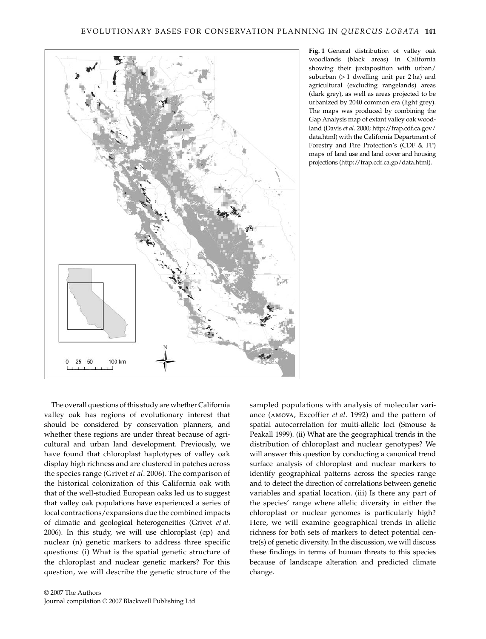

**Fig. 1** General distribution of valley oak woodlands (black areas) in California showing their juxtaposition with urban/ suburban (> 1 dwelling unit per 2 ha) and agricultural (excluding rangelands) areas (dark grey), as well as areas projected to be urbanized by 2040 common era (light grey). The maps was produced by combining the Gap Analysis map of extant valley oak woodland (Davis *et al*[. 2000; http://frap.cdf.ca.gov/](http://frap.cdf.ca.gov/data.html) data.html) with the California Department of Forestry and Fire Protection's (CDF & FP) maps of land use and land cover and housing projections [\(http://frap.cdf.ca.go/data.html\).](http://frap.cdf.ca.go/data.html)

The overall questions of this study are whether California valley oak has regions of evolutionary interest that should be considered by conservation planners, and whether these regions are under threat because of agricultural and urban land development. Previously, we have found that chloroplast haplotypes of valley oak display high richness and are clustered in patches across the species range (Grivet *et al*. 2006). The comparison of the historical colonization of this California oak with that of the well-studied European oaks led us to suggest that valley oak populations have experienced a series of local contractions/expansions due the combined impacts of climatic and geological heterogeneities (Grivet *et al*. 2006). In this study, we will use chloroplast (cp) and nuclear (n) genetic markers to address three specific questions: (i) What is the spatial genetic structure of the chloroplast and nuclear genetic markers? For this question, we will describe the genetic structure of the

sampled populations with analysis of molecular variance (amova, Excoffier *et al*. 1992) and the pattern of spatial autocorrelation for multi-allelic loci (Smouse & Peakall 1999). (ii) What are the geographical trends in the distribution of chloroplast and nuclear genotypes? We will answer this question by conducting a canonical trend surface analysis of chloroplast and nuclear markers to identify geographical patterns across the species range and to detect the direction of correlations between genetic variables and spatial location. (iii) Is there any part of the species' range where allelic diversity in either the chloroplast or nuclear genomes is particularly high? Here, we will examine geographical trends in allelic richness for both sets of markers to detect potential centre(s) of genetic diversity. In the discussion, we will discuss these findings in terms of human threats to this species because of landscape alteration and predicted climate change.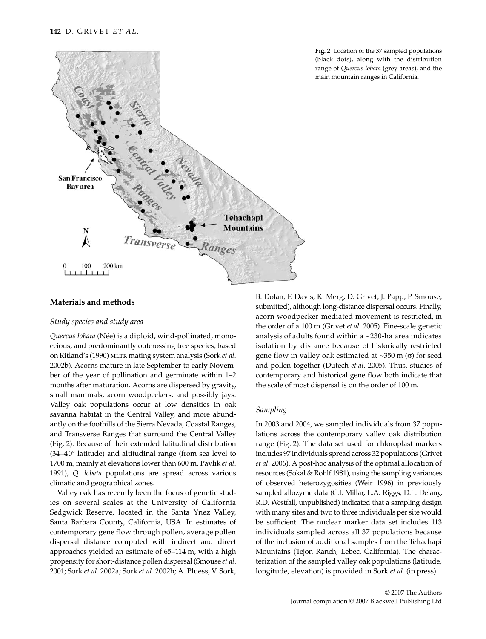

## **Materials and methods**

#### *Study species and study area*

*Quercus lobata* (Née) is a diploid, wind-pollinated, monoecious, and predominantly outcrossing tree species, based on Ritland's (1990) mltr mating system analysis (Sork *et al*. 2002b). Acorns mature in late September to early November of the year of pollination and germinate within 1–2 months after maturation. Acorns are dispersed by gravity, small mammals, acorn woodpeckers, and possibly jays. Valley oak populations occur at low densities in oak savanna habitat in the Central Valley, and more abundantly on the foothills of the Sierra Nevada, Coastal Ranges, and Transverse Ranges that surround the Central Valley (Fig. 2). Because of their extended latitudinal distribution (34–40° latitude) and altitudinal range (from sea level to 1700 m, mainly at elevations lower than 600 m, Pavlik *et al*. 1991), *Q. lobata* populations are spread across various climatic and geographical zones.

Valley oak has recently been the focus of genetic studies on several scales at the University of California Sedgwick Reserve, located in the Santa Ynez Valley, Santa Barbara County, California, USA. In estimates of contemporary gene flow through pollen, average pollen dispersal distance computed with indirect and direct approaches yielded an estimate of 65–114 m, with a high propensity for short-distance pollen dispersal(Smouse *et al*. 2001; Sork *et al*. 2002a; Sork *et al*. 2002b; A. Pluess, V. Sork, B. Dolan, F. Davis, K. Merg, D. Grivet, J. Papp, P. Smouse, submitted), although long-distance dispersal occurs. Finally, acorn woodpecker-mediated movement is restricted, in the order of a 100 m (Grivet *et al*. 2005). Fine-scale genetic analysis of adults found within a ~230-ha area indicates isolation by distance because of historically restricted gene flow in valley oak estimated at  $\sim$ 350 m (σ) for seed and pollen together (Dutech *et al*. 2005). Thus, studies of contemporary and historical gene flow both indicate that the scale of most dispersal is on the order of 100 m.

#### *Sampling*

In 2003 and 2004, we sampled individuals from 37 populations across the contemporary valley oak distribution range (Fig. 2). The data set used for chloroplast markers includes 97 individuals spread across 32 populations (Grivet *et al*. 2006). A post-hoc analysis of the optimal allocation of resources (Sokal & Rohlf 1981), using the sampling variances of observed heterozygosities (Weir 1996) in previously sampled allozyme data (C.I. Millar, L.A. Riggs, D.L. Delany, R.D. Westfall, unpublished) indicated that a sampling design with many sites and two to three individuals per site would be sufficient. The nuclear marker data set includes 113 individuals sampled across all 37 populations because of the inclusion of additional samples from the Tehachapi Mountains (Tejon Ranch, Lebec, California). The characterization of the sampled valley oak populations (latitude, longitude, elevation) is provided in Sork *et al*. (in press).

**Fig. 2** Location of the 37 sampled populations (black dots), along with the distribution range of *Quercus lobata* (grey areas), and the main mountain ranges in California.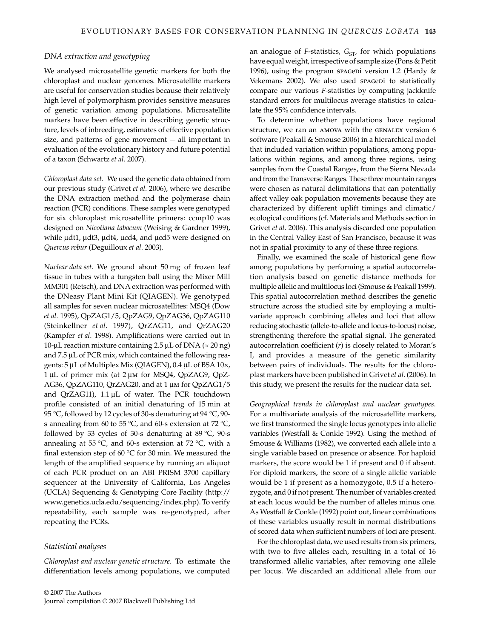## *DNA extraction and genotyping*

We analysed microsatellite genetic markers for both the chloroplast and nuclear genomes. Microsatellite markers are useful for conservation studies because their relatively high level of polymorphism provides sensitive measures of genetic variation among populations. Microsatellite markers have been effective in describing genetic structure, levels of inbreeding, estimates of effective population size, and patterns of gene movement — all important in evaluation of the evolutionary history and future potential of a taxon (Schwartz *et al*. 2007).

*Chloroplast data set.* We used the genetic data obtained from our previous study (Grivet *et al*. 2006), where we describe the DNA extraction method and the polymerase chain reaction (PCR) conditions. These samples were genotyped for six chloroplast microsatellite primers: ccmp10 was designed on *Nicotiana tabacum* (Weising & Gardner 1999), while dt1, dt3, dt4, cd4, and cd5 were designed on *Quercus robur* (Deguilloux *et al*. 2003).

*Nuclear data set.* We ground about 50 mg of frozen leaf tissue in tubes with a tungsten ball using the Mixer Mill MM301 (Retsch), and DNA extraction was performed with the DNeasy Plant Mini Kit (QIAGEN). We genotyped all samples for seven nuclear microsatellites: MSQ4 (Dow *et al*. 1995), QpZAG1/5, QpZAG9, QpZAG36, QpZAG110 (Steinkellner *et al*. 1997), QrZAG11, and QrZAG20 (Kampfer *et al*. 1998). Amplifications were carried out in 10- L reaction mixture containing 2.5 L of DNA ( $\approx$  20 ng) and 7.5 L of PCR mix, which contained the following reagents: 5 L of Multiplex Mix (QIAGEN), 0.4 L of BSA 10×, 1 L of primer mix (at 2 m for MSQ4, QpZAG9, QpZ-AG36, QpZAG110, QrZAG20, and at 1 m for QpZAG1/5 and QrZAG11), 1.1 L of water. The PCR touchdown profile consisted of an initial denaturing of 15 min at 95 °C, followed by 12 cycles of 30-s denaturing at 94 °C, 90 s annealing from 60 to 55 °C, and 60-s extension at 72 °C, followed by 33 cycles of 30-s denaturing at 89  $\degree$ C, 90-s annealing at 55 °C, and 60-s extension at 72 °C, with a final extension step of 60 °C for 30 min. We measured the length of the amplified sequence by running an aliquot of each PCR product on an ABI PRISM 3700 capillary sequencer at the University of California, Los Angeles (UCLA) Sequencing & Genotyping Core Facility (http:// [www.genetics.ucla.edu/sequencing/index.php\).](http://www.genetics.ucla.edu/sequencing/index.php) To verify repeatability, each sample was re-genotyped, after repeating the PCRs.

#### *Statistical analyses*

*Chloroplast and nuclear genetic structure.* To estimate the differentiation levels among populations, we computed an analogue of *F*-statistics, *G*<sub>ST</sub>, for which populations have equal weight, irrespective of sample size (Pons & Petit 1996), using the program spagedi version 1.2 (Hardy  $\&$ Vekemans 2002). We also used spageni to statistically compare our various *F*-statistics by computing jackknife standard errors for multilocus average statistics to calculate the 95% confidence intervals.

To determine whether populations have regional structure, we ran an AMOVA with the GENALEX version 6 software (Peakall & Smouse 2006) in a hierarchical model that included variation within populations, among populations within regions, and among three regions, using samples from the Coastal Ranges, from the Sierra Nevada and from the Transverse Ranges. These three mountain ranges were chosen as natural delimitations that can potentially affect valley oak population movements because they are characterized by different uplift timings and climatic/ ecological conditions (cf. Materials and Methods section in Grivet *et al*. 2006). This analysis discarded one population in the Central Valley East of San Francisco, because it was not in spatial proximity to any of these three regions.

Finally, we examined the scale of historical gene flow among populations by performing a spatial autocorrelation analysis based on genetic distance methods for multiple allelic and multilocus loci (Smouse & Peakall 1999). This spatial autocorrelation method describes the genetic structure across the studied site by employing a multivariate approach combining alleles and loci that allow reducing stochastic (allele-to-allele and locus-to-locus) noise, strengthening therefore the spatial signal. The generated autocorrelation coefficient (*r*) is closely related to Moran's I, and provides a measure of the genetic similarity between pairs of individuals. The results for the chloroplast markers have been published in Grivet*et al*. (2006). In this study, we present the results for the nuclear data set.

*Geographical trends in chloroplast and nuclear genotypes.* For a multivariate analysis of the microsatellite markers, we first transformed the single locus genotypes into allelic variables (Westfall & Conkle 1992). Using the method of Smouse & Williams (1982), we converted each allele into a single variable based on presence or absence. For haploid markers, the score would be 1 if present and 0 if absent. For diploid markers, the score of a single allelic variable would be 1 if present as a homozygote, 0.5 if a heterozygote, and 0 if not present. The number of variables created at each locus would be the number of alleles minus one. As Westfall & Conkle (1992) point out, linear combinations of these variables usually result in normal distributions of scored data when sufficient numbers of loci are present.

For the chloroplast data, we used results from six primers, with two to five alleles each, resulting in a total of 16 transformed allelic variables, after removing one allele per locus. We discarded an additional allele from our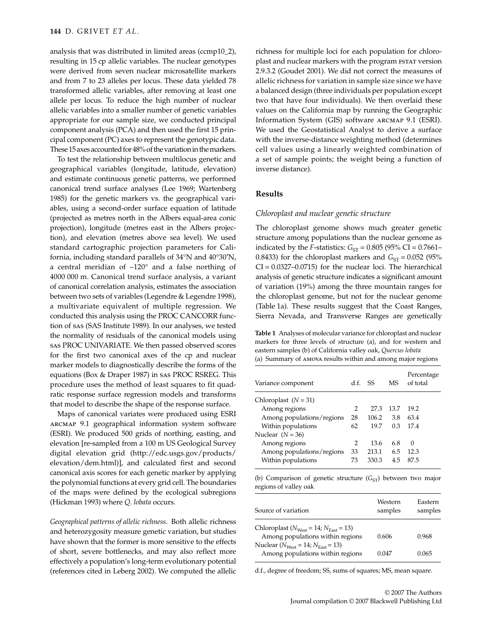analysis that was distributed in limited areas (ccmp10\_2), resulting in 15 cp allelic variables. The nuclear genotypes were derived from seven nuclear microsatellite markers and from 7 to 23 alleles per locus. These data yielded 78 transformed allelic variables, after removing at least one allele per locus. To reduce the high number of nuclear allelic variables into a smaller number of genetic variables appropriate for our sample size, we conducted principal component analysis (PCA) and then used the first 15 principal component (PC) axes to represent the genotypic data. These 15 axes accounted for 48% of the variation in the markers.

To test the relationship between multilocus genetic and geographical variables (longitude, latitude, elevation) and estimate continuous genetic patterns, we performed canonical trend surface analyses (Lee 1969; Wartenberg 1985) for the genetic markers vs. the geographical variables, using a second-order surface equation of latitude (projected as metres north in the Albers equal-area conic projection), longitude (metres east in the Albers projection), and elevation (metres above sea level). We used standard cartographic projection parameters for California, including standard parallels of 34°N and 40°30′N, a central meridian of –120° and a false northing of 4000 000 m. Canonical trend surface analysis, a variant of canonical correlation analysis, estimates the association between two sets of variables (Legendre & Legendre 1998), a multivariate equivalent of multiple regression. We conducted this analysis using the PROC CANCORR function of sas (SAS Institute 1989). In our analyses, we tested the normality of residuals of the canonical models using sas PROC UNIVARIATE. We then passed observed scores for the first two canonical axes of the cp and nuclear marker models to diagnostically describe the forms of the equations (Box & Draper 1987) in sas PROC RSREG. This procedure uses the method of least squares to fit quadratic response surface regression models and transforms that model to describe the shape of the response surface.

Maps of canonical variates were produced using ESRI arcmap 9.1 geographical information system software (ESRI). We produced 500 grids of northing, easting, and elevation [re-sampled from a 100 m US Geological Survey digital elevation grid [\(http://edc.usgs.gov/products/](http://edc.usgs.gov/products/elevation/dem.html) elevation/dem.html)], and calculated first and second canonical axis scores for each genetic marker by applying the polynomial functions at every grid cell. The boundaries of the maps were defined by the ecological subregions (Hickman 1993) where *Q. lobata* occurs.

*Geographical patterns of allelic richness.* Both allelic richness and heterozygosity measure genetic variation, but studies have shown that the former is more sensitive to the effects of short, severe bottlenecks, and may also reflect more effectively a population's long-term evolutionary potential (references cited in Leberg 2002). We computed the allelic

richness for multiple loci for each population for chloroplast and nuclear markers with the program FSTAT version 2.9.3.2 (Goudet 2001). We did not correct the measures of allelic richness for variation in sample size since we have a balanced design (three individuals per population except two that have four individuals). We then overlaid these values on the California map by running the Geographic Information System (GIS) software arcmap 9.1 (ESRI). We used the Geostatistical Analyst to derive a surface with the inverse-distance weighting method (determines cell values using a linearly weighted combination of a set of sample points; the weight being a function of inverse distance).

# **Results**

#### *Chloroplast and nuclear genetic structure*

The chloroplast genome shows much greater genetic structure among populations than the nuclear genome as indicated by the *F*-statistics:  $G_{ST} = 0.805$  (95% CI = 0.7661– 0.8433) for the chloroplast markers and  $G_{ST} = 0.052$  (95%)  $CI = 0.0327 - 0.0715$ ) for the nuclear loci. The hierarchical analysis of genetic structure indicates a significant amount of variation (19%) among the three mountain ranges for the chloroplast genome, but not for the nuclear genome (Table 1a). These results suggest that the Coast Ranges, Sierra Nevada, and Transverse Ranges are genetically

**Table 1** Analyses of molecular variance for chloroplast and nuclear markers for three levels of structure (a), and for western and eastern samples (b) of California valley oak, *Quercus lobata* (a) Summary of amova results within and among major regions

| Variance component        | d.f. | - SS  | MS   | Percentage<br>of total |
|---------------------------|------|-------|------|------------------------|
| Chloroplast $(N = 31)$    |      |       |      |                        |
| Among regions             | 2    | 27.3  | 13.7 | 19.2                   |
| Among populations/regions | 28   | 106.2 | 3.8  | 63.4                   |
| Within populations        | 62   | 19.7  | 0.3  | 17.4                   |
| Nuclear $(N = 36)$        |      |       |      |                        |
| Among regions             | 2    | 13.6  | 6.8  | 0                      |
| Among populations/regions | 33   | 213.1 | 6.5  | 12.3                   |
| Within populations        | 73   | 330.3 | 4.5  | 87.5                   |

(b) Comparison of genetic structure (G<sub>ST</sub>) between two major regions of valley oak

| Source of variation                                                               | Western<br>samples | Eastern<br>samples |
|-----------------------------------------------------------------------------------|--------------------|--------------------|
| Chloroplast ( $N_{West} = 14$ ; $N_{Fast} = 13$ )                                 |                    |                    |
| Among populations within regions<br>Nuclear ( $N_{West} = 14$ ; $N_{East} = 13$ ) | 0.606              | 0.968              |
| Among populations within regions                                                  | 0.047              | 0.065              |

d.f., degree of freedom; SS, sums of squares; MS, mean square.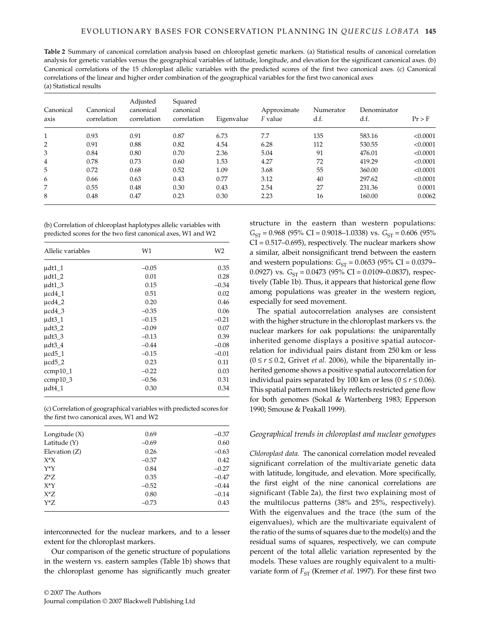| Table 2 Summary of canonical correlation analysis based on chloroplast genetic markers. (a) Statistical results of canonical correlation       |
|------------------------------------------------------------------------------------------------------------------------------------------------|
| analysis for genetic variables versus the geographical variables of latitude, longitude, and elevation for the significant canonical axes. (b) |
| Canonical correlations of the 15 chloroplast allelic variables with the predicted scores of the first two canonical axes. (c) Canonical        |
| correlations of the linear and higher order combination of the geographical variables for the first two canonical axes                         |
| (a) Statistical results                                                                                                                        |

| Canonical<br>axis | Canonical<br>correlation | Adjusted<br>canonical<br>correlation | Squared<br>canonical<br>correlation | Eigenvalue | Approximate<br><i>F</i> value | Numerator<br>d.f. | Denominator<br>d.f. | Pr > F   |
|-------------------|--------------------------|--------------------------------------|-------------------------------------|------------|-------------------------------|-------------------|---------------------|----------|
| $\mathbf{1}$      | 0.93                     | 0.91                                 | 0.87                                | 6.73       | 7.7                           | 135               | 583.16              | < 0.0001 |
| $\overline{2}$    | 0.91                     | 0.88                                 | 0.82                                | 4.54       | 6.28                          | 112               | 530.55              | < 0.0001 |
| 3                 | 0.84                     | 0.80                                 | 0.70                                | 2.36       | 5.04                          | 91                | 476.01              | < 0.0001 |
| 4                 | 0.78                     | 0.73                                 | 0.60                                | 1.53       | 4.27                          | 72                | 419.29              | < 0.0001 |
| 5                 | 0.72                     | 0.68                                 | 0.52                                | 1.09       | 3.68                          | 55                | 360.00              | < 0.0001 |
| 6                 | 0.66                     | 0.63                                 | 0.43                                | 0.77       | 3.12                          | 40                | 297.62              | < 0.0001 |
| 7                 | 0.55                     | 0.48                                 | 0.30                                | 0.43       | 2.54                          | 27                | 231.36              | 0.0001   |
| 8                 | 0.48                     | 0.47                                 | 0.23                                | 0.30       | 2.23                          | 16                | 160.00              | 0.0062   |

(b) Correlation of chloroplast haplotypes allelic variables with predicted scores for the two first canonical axes, W1 and W2

| Allelic variables | W1      | W <sub>2</sub> |
|-------------------|---------|----------------|
| $dt1_1$           | $-0.05$ | 0.35           |
| $dt1_2$           | 0.01    | 0.28           |
| $dt1_3$           | 0.15    | $-0.34$        |
| $cd4_1$           | 0.51    | 0.02           |
| cd42              | 0.20    | 0.46           |
| cd4 3             | $-0.35$ | 0.06           |
| dt3 1             | $-0.15$ | $-0.21$        |
| dt32              | $-0.09$ | 0.07           |
| $dt3_3$           | $-0.13$ | 0.39           |
| dt3 4             | $-0.44$ | $-0.08$        |
| cd5 <sub>1</sub>  | $-0.15$ | $-0.01$        |
| cd5 2             | 0.23    | 0.11           |
| ccmp10_1          | $-0.22$ | 0.03           |
| $comp10_3$        | $-0.56$ | 0.31           |
| dt4 1             | 0.30    | 0.34           |

(c) Correlation of geographical variables with predicted scores for the first two canonical axes, W1 and W2

| Longitude $(X)$ | 0.69    | $-0.37$ |
|-----------------|---------|---------|
| Latitude (Y)    | $-0.69$ | 0.60    |
| Elevation $(Z)$ | 0.26    | $-0.63$ |
| $X^*X$          | $-0.37$ | 0.42    |
| $Y^*Y$          | 0.84    | $-0.27$ |
| $Z^*Z$          | 0.35    | $-0.47$ |
| $X^*Y$          | $-0.52$ | $-0.44$ |
| $X^*Z$          | 0.80    | $-0.14$ |
| $Y^*Z$          | $-0.73$ | 0.43    |
|                 |         |         |

interconnected for the nuclear markers, and to a lesser extent for the chloroplast markers.

Our comparison of the genetic structure of populations in the western vs. eastern samples (Table 1b) shows that the chloroplast genome has significantly much greater structure in the eastern than western populations:  $G_{ST} = 0.968$  (95% CI = 0.9018–1.0338) vs.  $G_{ST} = 0.606$  (95%  $CI = 0.517 - 0.695$ , respectively. The nuclear markers show a similar, albeit nonsignificant trend between the eastern and western populations:  $G_{ST} = 0.0653$  (95% CI = 0.0379– 0.0927) vs.  $G_{ST} = 0.0473$  (95% CI = 0.0109–0.0837), respectively (Table 1b). Thus, it appears that historical gene flow among populations was greater in the western region, especially for seed movement.

The spatial autocorrelation analyses are consistent with the higher structure in the chloroplast markers vs. the nuclear markers for oak populations: the uniparentally inherited genome displays a positive spatial autocorrelation for individual pairs distant from 250 km or less (0 ≤ *r* ≤ 0.2, Grivet *et al*. 2006), while the biparentally inherited genome shows a positive spatial autocorrelation for individual pairs separated by 100 km or less ( $0 \le r \le 0.06$ ). This spatial pattern most likely reflects restricted gene flow for both genomes (Sokal & Wartenberg 1983; Epperson 1990; Smouse & Peakall 1999).

#### *Geographical trends in chloroplast and nuclear genotypes*

*Chloroplast data.* The canonical correlation model revealed significant correlation of the multivariate genetic data with latitude, longitude, and elevation. More specifically, the first eight of the nine canonical correlations are significant (Table 2a), the first two explaining most of the multilocus patterns (38% and 25%, respectively). With the eigenvalues and the trace (the sum of the eigenvalues), which are the multivariate equivalent of the ratio of the sums of squares due to the model(s) and the residual sums of squares, respectively, we can compute percent of the total allelic variation represented by the models. These values are roughly equivalent to a multivariate form of  $F_{ST}$  (Kremer *et al.* 1997). For these first two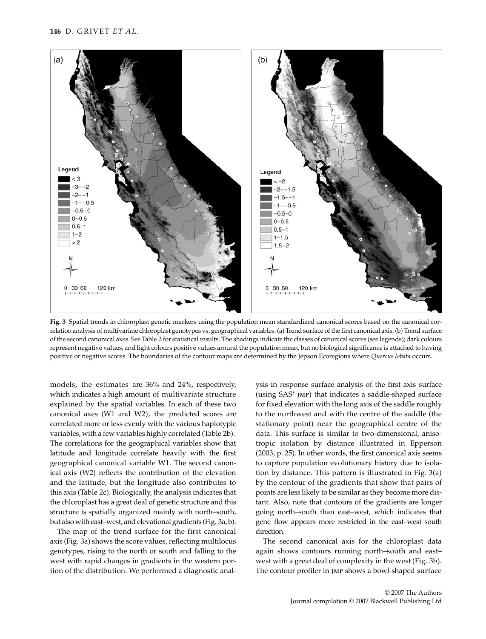

**Fig. 3** Spatial trends in chloroplast genetic markers using the population mean standardized canonical scores based on the canonical correlation analysis of multivariate chloroplast genotypes vs. geographical variables.(a) Trend surface ofthe first canonical axis.(b) Trend surface of the second canonical axes. See Table 2 for statisticalresults. The shadings indicate the classes of canonical scores (see legends); dark colours represent negative values, and light colours positive values around the population mean, but no biological significance is attached to having positive or negative scores. The boundaries of the contour maps are determined by the Jepson Ecoregions where *Quercus lobata* occurs.

models, the estimates are 36% and 24%, respectively, which indicates a high amount of multivariate structure explained by the spatial variables. In each of these two canonical axes (W1 and W2), the predicted scores are correlated more or less evenly with the various haplotypic variables, with a few variables highly correlated (Table 2b). The correlations for the geographical variables show that latitude and longitude correlate heavily with the first geographical canonical variable W1. The second canonical axis (W2) reflects the contribution of the elevation and the latitude, but the longitude also contributes to this axis (Table 2c). Biologically, the analysis indicates that the chloroplast has a great deal of genetic structure and this structure is spatially organized mainly with north–south, but also witheast–west, andelevational gradients (Fig. 3a, b).

The map of the trend surface for the first canonical axis (Fig. 3a) shows the score values, reflecting multilocus genotypes, rising to the north or south and falling to the west with rapid changes in gradients in the western portion of the distribution. We performed a diagnostic analysis in response surface analysis of the first axis surface (using SAS' jmp) that indicates a saddle-shaped surface for fixed elevation with the long axis of the saddle roughly to the northwest and with the centre of the saddle (the stationary point) near the geographical centre of the data. This surface is similar to two-dimensional, anisotropic isolation by distance illustrated in Epperson (2003, p. 25). In other words, the first canonical axis seems to capture population evolutionary history due to isolation by distance. This pattern is illustrated in Fig. 3(a) by the contour of the gradients that show that pairs of points are less likely to be similar as they become more distant. Also, note that contours of the gradients are longer going north–south than east–west, which indicates that gene flow appears more restricted in the east–west south direction.

The second canonical axis for the chloroplast data again shows contours running north–south and east– west with a great deal of complexity in the west (Fig. 3b). The contour profiler in jmp shows a bowl-shaped surface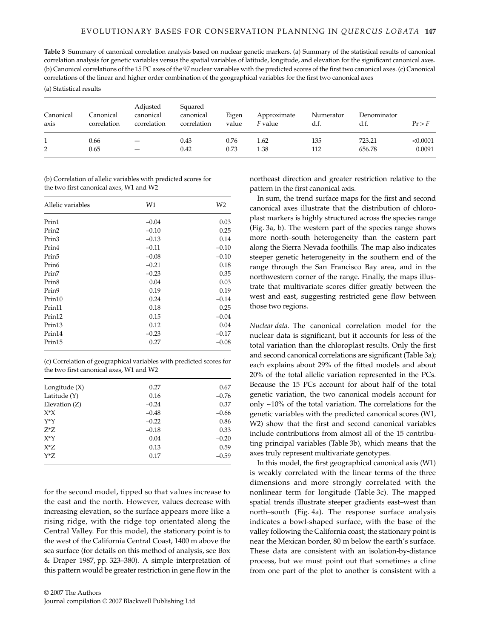| <b>Table 3</b> Summary of canonical correlation analysis based on nuclear genetic markers. (a) Summary of the statistical results of canonical    |
|---------------------------------------------------------------------------------------------------------------------------------------------------|
| correlation analysis for genetic variables versus the spatial variables of latitude, longitude, and elevation for the significant canonical axes. |
| (b) Canonical correlations of the 15 PC axes of the 97 nuclear variables with the predicted scores of the first two canonical axes. (c) Canonical |
| correlations of the linear and higher order combination of the geographical variables for the first two canonical axes                            |
|                                                                                                                                                   |

(a) Statistical results

| Canonical<br>axis | Canonical<br>correlation | Adjusted<br>canonical<br>correlation | Squared<br>canonical<br>correlation | Eigen<br>value | Approximate<br><i>F</i> value | Numerator<br>d.f. | Denominator<br>d.f. | Pr > F   |
|-------------------|--------------------------|--------------------------------------|-------------------------------------|----------------|-------------------------------|-------------------|---------------------|----------|
|                   | 0.66                     |                                      | 0.43                                | 0.76           | 1.62                          | 135               | 723.21              | < 0.0001 |
| 2                 | 0.65                     |                                      | 0.42                                | 0.73           | 1.38                          | 112               | 656.78              | 0.0091   |

(b) Correlation of allelic variables with predicted scores for the two first canonical axes, W1 and W2

| Allelic variables  | W1      | W <sub>2</sub> |
|--------------------|---------|----------------|
| Prin1              | $-0.04$ | 0.03           |
| Prin2              | $-0.10$ | 0.25           |
| Prin <sub>3</sub>  | $-0.13$ | 0.14           |
| Prin4              | $-0.11$ | $-0.10$        |
| Prin5              | $-0.08$ | $-0.10$        |
| Prin6              | $-0.21$ | 0.18           |
| Prin7              | $-0.23$ | 0.35           |
| Prin <sub>8</sub>  | 0.04    | 0.03           |
| Prin9              | 0.19    | 0.19           |
| Prin10             | 0.24    | $-0.14$        |
| Prin11             | 0.18    | 0.25           |
| Prin <sub>12</sub> | 0.15    | $-0.04$        |
| Prin13             | 0.12    | 0.04           |
| Prin14             | $-0.23$ | $-0.17$        |
| Prin15             | 0.27    | $-0.08$        |

(c) Correlation of geographical variables with predicted scores for the two first canonical axes, W1 and W2

| Longitude $(X)$ | 0.27    | 0.67    |
|-----------------|---------|---------|
| Latitude (Y)    | 0.16    | $-0.76$ |
| Elevation $(Z)$ | $-0.24$ | 0.37    |
| $X^*X$          | $-0.48$ | $-0.66$ |
| $Y^*Y$          | $-0.22$ | 0.86    |
| Z*Z.            | $-0.18$ | 0.33    |
| $X^*Y$          | 0.04    | $-0.20$ |
| $X^*Z$          | 0.13    | 0.59    |
| $Y^*Z$          | 0.17    | $-0.59$ |
|                 |         |         |

for the second model, tipped so that values increase to the east and the north. However, values decrease with increasing elevation, so the surface appears more like a rising ridge, with the ridge top orientated along the Central Valley. For this model, the stationary point is to the west of the California Central Coast, 1400 m above the sea surface (for details on this method of analysis, see Box & Draper 1987, pp. 323–380). A simple interpretation of this pattern would be greater restriction in gene flow in the northeast direction and greater restriction relative to the pattern in the first canonical axis.

In sum, the trend surface maps for the first and second canonical axes illustrate that the distribution of chloroplast markers is highly structured across the species range (Fig. 3a, b). The western part of the species range shows more north–south heterogeneity than the eastern part along the Sierra Nevada foothills. The map also indicates steeper genetic heterogeneity in the southern end of the range through the San Francisco Bay area, and in the northwestern corner of the range. Finally, the maps illustrate that multivariate scores differ greatly between the west and east, suggesting restricted gene flow between those two regions.

*Nuclear data.* The canonical correlation model for the nuclear data is significant, but it accounts for less of the total variation than the chloroplast results. Only the first and second canonical correlations are significant (Table 3a); each explains about 29% of the fitted models and about 20% of the total allelic variation represented in the PCs. Because the 15 PCs account for about half of the total genetic variation, the two canonical models account for only ~10% of the total variation. The correlations for the genetic variables with the predicted canonical scores (W1, W2) show that the first and second canonical variables include contributions from almost all of the 15 contributing principal variables (Table 3b), which means that the axes truly represent multivariate genotypes.

In this model, the first geographical canonical axis (W1) is weakly correlated with the linear terms of the three dimensions and more strongly correlated with the nonlinear term for longitude (Table 3c). The mapped spatial trends illustrate steeper gradients east–west than north–south (Fig. 4a). The response surface analysis indicates a bowl-shaped surface, with the base of the valley following the California coast; the stationary point is near the Mexican border, 80 m below the earth's surface. These data are consistent with an isolation-by-distance process, but we must point out that sometimes a cline from one part of the plot to another is consistent with a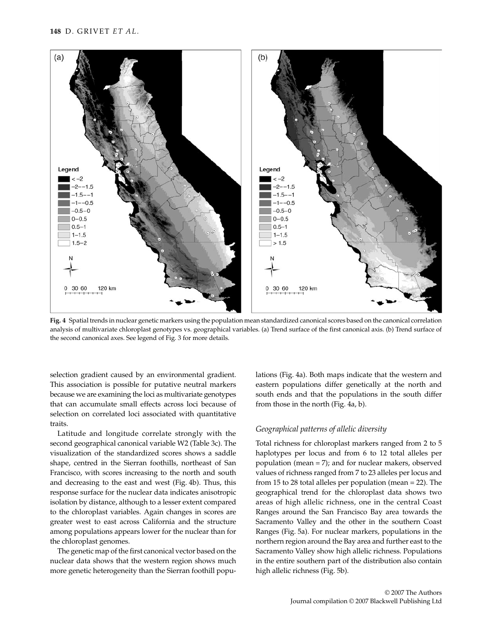

**Fig. 4** Spatial trends in nuclear genetic markers using the population mean standardized canonical scores based on the canonical correlation analysis of multivariate chloroplast genotypes vs. geographical variables. (a) Trend surface of the first canonical axis. (b) Trend surface of the second canonical axes. See legend of Fig. 3 for more details.

selection gradient caused by an environmental gradient. This association is possible for putative neutral markers because we are examining the loci as multivariate genotypes that can accumulate small effects across loci because of selection on correlated loci associated with quantitative traits.

Latitude and longitude correlate strongly with the second geographical canonical variable W2 (Table 3c). The visualization of the standardized scores shows a saddle shape, centred in the Sierran foothills, northeast of San Francisco, with scores increasing to the north and south and decreasing to the east and west (Fig. 4b). Thus, this response surface for the nuclear data indicates anisotropic isolation by distance, although to a lesser extent compared to the chloroplast variables. Again changes in scores are greater west to east across California and the structure among populations appears lower for the nuclear than for the chloroplast genomes.

The genetic map of the first canonical vector based on the nuclear data shows that the western region shows much more genetic heterogeneity than the Sierran foothill populations (Fig. 4a). Both maps indicate that the western and eastern populations differ genetically at the north and south ends and that the populations in the south differ from those in the north (Fig. 4a, b).

#### *Geographical patterns of allelic diversity*

Total richness for chloroplast markers ranged from 2 to 5 haplotypes per locus and from 6 to 12 total alleles per population (mean = 7); and for nuclear makers, observed values of richness ranged from 7 to 23 alleles per locus and from 15 to 28 total alleles per population (mean = 22). The geographical trend for the chloroplast data shows two areas of high allelic richness, one in the central Coast Ranges around the San Francisco Bay area towards the Sacramento Valley and the other in the southern Coast Ranges (Fig. 5a). For nuclear markers, populations in the northern region around the Bay area and further east to the Sacramento Valley show high allelic richness. Populations in the entire southern part of the distribution also contain high allelic richness (Fig. 5b).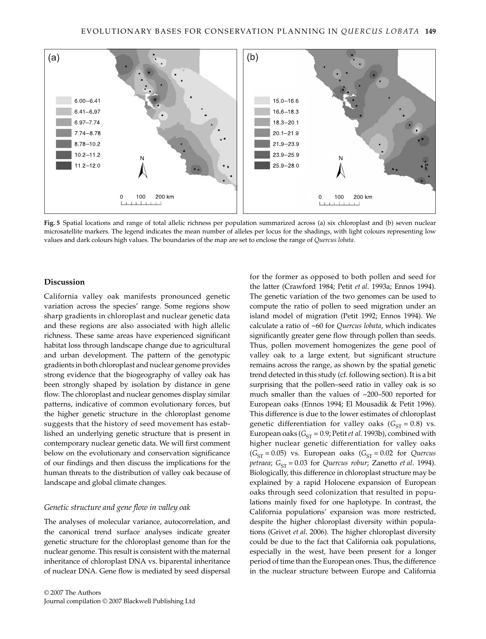

**Fig. 5** Spatial locations and range of total allelic richness per population summarized across (a) six chloroplast and (b) seven nuclear microsatellite markers. The legend indicates the mean number of alleles per locus for the shadings, with light colours representing low values and dark colours high values. The boundaries of the map are set to enclose the range of *Quercus lobata*.

## **Discussion**

California valley oak manifests pronounced genetic variation across the species' range. Some regions show sharp gradients in chloroplast and nuclear genetic data and these regions are also associated with high allelic richness. These same areas have experienced significant habitat loss through landscape change due to agricultural and urban development. The pattern of the genotypic gradients in both chloroplast and nuclear genome provides strong evidence that the biogeography of valley oak has been strongly shaped by isolation by distance in gene flow. The chloroplast and nuclear genomes display similar patterns, indicative of common evolutionary forces, but the higher genetic structure in the chloroplast genome suggests that the history of seed movement has established an underlying genetic structure that is present in contemporary nuclear genetic data. We will first comment below on the evolutionary and conservation significance of our findings and then discuss the implications for the human threats to the distribution of valley oak because of landscape and global climate changes.

## *Genetic structure and gene flow in valley oak*

The analyses of molecular variance, autocorrelation, and the canonical trend surface analyses indicate greater genetic structure for the chloroplast genome than for the nuclear genome. This result is consistent with the maternal inheritance of chloroplast DNA vs. biparental inheritance of nuclear DNA. Gene flow is mediated by seed dispersal for the former as opposed to both pollen and seed for the latter (Crawford 1984; Petit *et al*. 1993a; Ennos 1994). The genetic variation of the two genomes can be used to compute the ratio of pollen to seed migration under an island model of migration (Petit 1992; Ennos 1994). We calculate a ratio of ~60 for *Quercus lobata*, which indicates significantly greater gene flow through pollen than seeds. Thus, pollen movement homogenizes the gene pool of valley oak to a large extent, but significant structure remains across the range, as shown by the spatial genetic trend detected in this study (cf. following section). It is a bit surprising that the pollen–seed ratio in valley oak is so much smaller than the values of ~200–500 reported for European oaks (Ennos 1994; El Mousadik & Petit 1996). This difference is due to the lower estimates of chloroplast genetic differentiation for valley oaks  $(G_{ST} = 0.8)$  vs. European oaks ( $G_{ST}$  = 0.9; Petit *et al*. 1993b), combined with higher nuclear genetic differentiation for valley oaks  $(G_{ST} = 0.05)$  vs. European oaks  $(G_{ST} = 0.02$  for *Quercus petraea*;  $G_{ST} = 0.03$  for *Quercus robur*; Zanetto *et al.* 1994). Biologically, this difference in chloroplast structure may be explained by a rapid Holocene expansion of European oaks through seed colonization that resulted in populations mainly fixed for one haplotype. In contrast, the California populations' expansion was more restricted, despite the higher chloroplast diversity within populations (Grivet *et al*. 2006). The higher chloroplast diversity could be due to the fact that California oak populations, especially in the west, have been present for a longer period of time than the European ones. Thus, the difference in the nuclear structure between Europe and California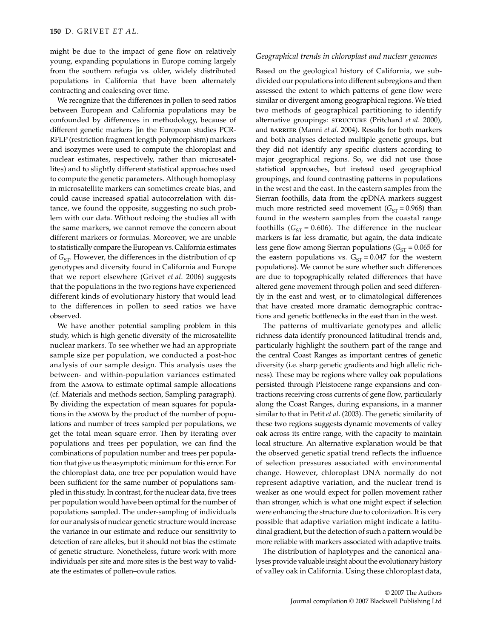might be due to the impact of gene flow on relatively young, expanding populations in Europe coming largely from the southern refugia vs. older, widely distributed populations in California that have been alternately contracting and coalescing over time.

We recognize that the differences in pollen to seed ratios between European and California populations may be confounded by differences in methodology, because of different genetic markers [in the European studies PCR-RFLP (restriction fragment length polymorphism) markers and isozymes were used to compute the chloroplast and nuclear estimates, respectively, rather than microsatellites) and to slightly different statistical approaches used to compute the genetic parameters. Although homoplasy in microsatellite markers can sometimes create bias, and could cause increased spatial autocorrelation with distance, we found the opposite, suggesting no such problem with our data. Without redoing the studies all with the same markers, we cannot remove the concern about different markers or formulas. Moreover, we are unable to statistically compare the European vs. California estimates of G<sub>ST</sub>. However, the differences in the distribution of cp genotypes and diversity found in California and Europe that we report elsewhere (Grivet *et al*. 2006) suggests that the populations in the two regions have experienced different kinds of evolutionary history that would lead to the differences in pollen to seed ratios we have observed.

We have another potential sampling problem in this study, which is high genetic diversity of the microsatellite nuclear markers. To see whether we had an appropriate sample size per population, we conducted a post-hoc analysis of our sample design. This analysis uses the between- and within-population variances estimated from the amova to estimate optimal sample allocations (cf. Materials and methods section, Sampling paragraph). By dividing the expectation of mean squares for populations in the amova by the product of the number of populations and number of trees sampled per populations, we get the total mean square error. Then by iterating over populations and trees per population, we can find the combinations of population number and trees per population that give us the asymptotic minimum forthis error. For the chloroplast data, one tree per population would have been sufficient for the same number of populations sampled in this study. In contrast, for the nuclear data, five trees per population would have been optimal for the number of populations sampled. The under-sampling of individuals for our analysis of nuclear genetic structure would increase the variance in our estimate and reduce our sensitivity to detection of rare alleles, but it should not bias the estimate of genetic structure. Nonetheless, future work with more individuals per site and more sites is the best way to validate the estimates of pollen–ovule ratios.

## *Geographical trends in chloroplast and nuclear genomes*

Based on the geological history of California, we subdivided our populations into different subregions and then assessed the extent to which patterns of gene flow were similar or divergent among geographical regions. We tried two methods of geographical partitioning to identify alternative groupings: STRUCTURE (Pritchard *et al.* 2000), and barrier (Manni *et al*. 2004). Results for both markers and both analyses detected multiple genetic groups, but they did not identify any specific clusters according to major geographical regions. So, we did not use those statistical approaches, but instead used geographical groupings, and found contrasting patterns in populations in the west and the east. In the eastern samples from the Sierran foothills, data from the cpDNA markers suggest much more restricted seed movement ( $G_{ST} = 0.968$ ) than found in the western samples from the coastal range foothills ( $G_{ST}$  = 0.606). The difference in the nuclear markers is far less dramatic, but again, the data indicate less gene flow among Sierran populations ( $G_{ST}$  = 0.065 for the eastern populations vs.  $G_{ST} = 0.047$  for the western populations). We cannot be sure whether such differences are due to topographically related differences that have altered gene movement through pollen and seed differently in the east and west, or to climatological differences that have created more dramatic demographic contractions and genetic bottlenecks in the east than in the west.

The patterns of multivariate genotypes and allelic richness data identify pronounced latitudinal trends and, particularly highlight the southern part of the range and the central Coast Ranges as important centres of genetic diversity (i.e. sharp genetic gradients and high allelic richness). These may be regions where valley oak populations persisted through Pleistocene range expansions and contractions receiving cross currents of gene flow, particularly along the Coast Ranges, during expansions, in a manner similar to that in Petit *et al*. (2003). The genetic similarity of these two regions suggests dynamic movements of valley oak across its entire range, with the capacity to maintain local structure. An alternative explanation would be that the observed genetic spatial trend reflects the influence of selection pressures associated with environmental change. However, chloroplast DNA normally do not represent adaptive variation, and the nuclear trend is weaker as one would expect for pollen movement rather than stronger, which is what one might expect if selection were enhancing the structure due to colonization. It is very possible that adaptive variation might indicate a latitudinal gradient, but the detection of such a pattern would be more reliable with markers associated with adaptive traits.

The distribution of haplotypes and the canonical analyses provide valuable insight about the evolutionary history of valley oak in California. Using these chloroplast data,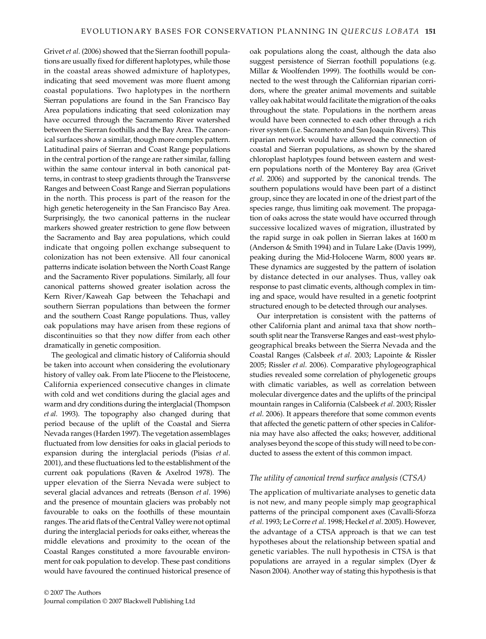Grivet *et al*. (2006) showed that the Sierran foothill populations are usually fixed for different haplotypes, while those in the coastal areas showed admixture of haplotypes, indicating that seed movement was more fluent among coastal populations. Two haplotypes in the northern Sierran populations are found in the San Francisco Bay Area populations indicating that seed colonization may have occurred through the Sacramento River watershed between the Sierran foothills and the Bay Area. The canonical surfaces show a similar, though more complex pattern. Latitudinal pairs of Sierran and Coast Range populations in the central portion of the range are rather similar, falling within the same contour interval in both canonical patterns, in contrast to steep gradients through the Transverse Ranges and between Coast Range and Sierran populations in the north. This process is part of the reason for the high genetic heterogeneity in the San Francisco Bay Area. Surprisingly, the two canonical patterns in the nuclear markers showed greater restriction to gene flow between the Sacramento and Bay area populations, which could indicate that ongoing pollen exchange subsequent to colonization has not been extensive. All four canonical patterns indicate isolation between the North Coast Range and the Sacramento River populations. Similarly, all four canonical patterns showed greater isolation across the Kern River/Kaweah Gap between the Tehachapi and southern Sierran populations than between the former and the southern Coast Range populations. Thus, valley oak populations may have arisen from these regions of discontinuities so that they now differ from each other dramatically in genetic composition.

The geological and climatic history of California should be taken into account when considering the evolutionary history of valley oak. From late Pliocene to the Pleistocene, California experienced consecutive changes in climate with cold and wet conditions during the glacial ages and warm and dry conditions during the interglacial (Thompson *et al*. 1993). The topography also changed during that period because of the uplift of the Coastal and Sierra Nevada ranges (Harden 1997). The vegetation assemblages fluctuated from low densities for oaks in glacial periods to expansion during the interglacial periods (Pisias *et al*. 2001), and these fluctuations led to the establishment of the current oak populations (Raven & Axelrod 1978). The upper elevation of the Sierra Nevada were subject to several glacial advances and retreats (Benson *et al*. 1996) and the presence of mountain glaciers was probably not favourable to oaks on the foothills of these mountain ranges. The arid flats of the Central Valley were not optimal during the interglacial periods for oaks either, whereas the middle elevations and proximity to the ocean of the Coastal Ranges constituted a more favourable environment for oak population to develop. These past conditions would have favoured the continued historical presence of oak populations along the coast, although the data also suggest persistence of Sierran foothill populations (e.g. Millar & Woolfenden 1999). The foothills would be connected to the west through the Californian riparian corridors, where the greater animal movements and suitable valley oak habitat would facilitate the migration of the oaks throughout the state. Populations in the northern areas would have been connected to each other through a rich river system (i.e. Sacramento and San Joaquin Rivers). This riparian network would have allowed the connection of coastal and Sierran populations, as shown by the shared chloroplast haplotypes found between eastern and western populations north of the Monterey Bay area (Grivet *et al*. 2006) and supported by the canonical trends. The southern populations would have been part of a distinct group, since they are located in one of the driest part of the species range, thus limiting oak movement. The propagation of oaks across the state would have occurred through successive localized waves of migration, illustrated by the rapid surge in oak pollen in Sierran lakes at 1600 m (Anderson & Smith 1994) and in Tulare Lake (Davis 1999), peaking during the Mid-Holocene Warm, 8000 years bp. These dynamics are suggested by the pattern of isolation by distance detected in our analyses. Thus, valley oak response to past climatic events, although complex in timing and space, would have resulted in a genetic footprint structured enough to be detected through our analyses.

Our interpretation is consistent with the patterns of other California plant and animal taxa that show north– south split near the Transverse Ranges and east–west phylogeographical breaks between the Sierra Nevada and the Coastal Ranges (Calsbeek *et al*. 2003; Lapointe & Rissler 2005; Rissler *et al*. 2006). Comparative phylogeographical studies revealed some correlation of phylogenetic groups with climatic variables, as well as correlation between molecular divergence dates and the uplifts of the principal mountain ranges in California (Calsbeek *et al*. 2003; Rissler *et al*. 2006). It appears therefore that some common events that affected the genetic pattern of other species in California may have also affected the oaks; however, additional analyses beyond the scope of this study will need to be conducted to assess the extent of this common impact.

#### *The utility of canonical trend surface analysis (CTSA)*

The application of multivariate analyses to genetic data is not new, and many people simply map geographical patterns of the principal component axes (Cavalli-Sforza *et al*. 1993; Le Corre *et al*. 1998; Heckel*et al*. 2005). However, the advantage of a CTSA approach is that we can test hypotheses about the relationship between spatial and genetic variables. The null hypothesis in CTSA is that populations are arrayed in a regular simplex (Dyer & Nason 2004). Another way of stating this hypothesis is that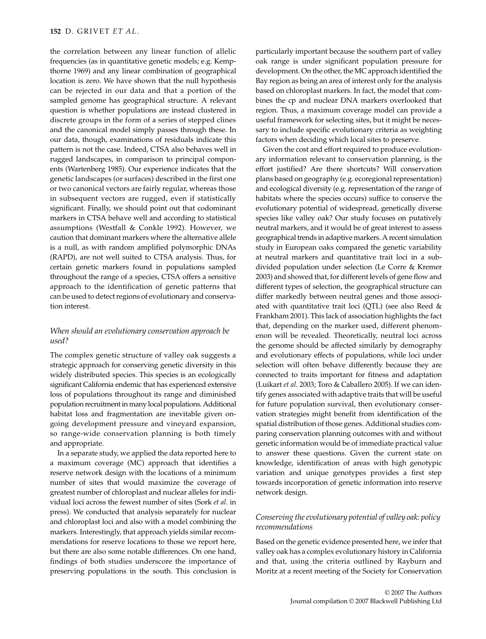the correlation between any linear function of allelic frequencies (as in quantitative genetic models; e.g. Kempthorne 1969) and any linear combination of geographical location is zero. We have shown that the null hypothesis can be rejected in our data and that a portion of the sampled genome has geographical structure. A relevant question is whether populations are instead clustered in discrete groups in the form of a series of stepped clines and the canonical model simply passes through these. In our data, though, examinations of residuals indicate this pattern is not the case. Indeed, CTSA also behaves well in rugged landscapes, in comparison to principal components (Wartenberg 1985). Our experience indicates that the genetic landscapes (or surfaces) described in the first one or two canonical vectors are fairly regular, whereas those in subsequent vectors are rugged, even if statistically significant. Finally, we should point out that codominant markers in CTSA behave well and according to statistical assumptions (Westfall & Conkle 1992). However, we caution that dominant markers where the alternative allele is a null, as with random amplified polymorphic DNAs (RAPD), are not well suited to CTSA analysis. Thus, for certain genetic markers found in populations sampled throughout the range of a species, CTSA offers a sensitive approach to the identification of genetic patterns that can be used to detect regions of evolutionary and conservation interest.

# *When should an evolutionary conservation approach be used?*

The complex genetic structure of valley oak suggests a strategic approach for conserving genetic diversity in this widely distributed species. This species is an ecologically significant California endemic that has experienced extensive loss of populations throughout its range and diminished population recruitment in many local populations. Additional habitat loss and fragmentation are inevitable given ongoing development pressure and vineyard expansion, so range-wide conservation planning is both timely and appropriate.

In a separate study, we applied the data reported here to a maximum coverage (MC) approach that identifies a reserve network design with the locations of a minimum number of sites that would maximize the coverage of greatest number of chloroplast and nuclear alleles for individual loci across the fewest number of sites (Sork *et al*. in press). We conducted that analysis separately for nuclear and chloroplast loci and also with a model combining the markers. Interestingly, that approach yields similar recommendations for reserve locations to those we report here, but there are also some notable differences. On one hand, findings of both studies underscore the importance of preserving populations in the south. This conclusion is

particularly important because the southern part of valley oak range is under significant population pressure for development. On the other, the MC approach identified the Bay region as being an area of interest only for the analysis based on chloroplast markers. In fact, the model that combines the cp and nuclear DNA markers overlooked that region. Thus, a maximum coverage model can provide a useful framework for selecting sites, but it might be necessary to include specific evolutionary criteria as weighting factors when deciding which local sites to preserve.

Given the cost and effort required to produce evolutionary information relevant to conservation planning, is the effort justified? Are there shortcuts? Will conservation plans based on geography (e.g. ecoregional representation) and ecological diversity (e.g. representation of the range of habitats where the species occurs) suffice to conserve the evolutionary potential of widespread, genetically diverse species like valley oak? Our study focuses on putatively neutral markers, and it would be of great interest to assess geographical trends in adaptive markers. A recent simulation study in European oaks compared the genetic variability at neutral markers and quantitative trait loci in a subdivided population under selection (Le Corre & Kremer 2003) and showed that, for different levels of gene flow and different types of selection, the geographical structure can differ markedly between neutral genes and those associated with quantitative trait loci (QTL) (see also Reed  $\&$ Frankham 2001). This lack of association highlights the fact that, depending on the marker used, different phenomenon will be revealed. Theoretically, neutral loci across the genome should be affected similarly by demography and evolutionary effects of populations, while loci under selection will often behave differently because they are connected to traits important for fitness and adaptation (Luikart *et al*. 2003; Toro & Caballero 2005). If we can identify genes associated with adaptive traits that will be useful for future population survival, then evolutionary conservation strategies might benefit from identification of the spatial distribution of those genes. Additional studies comparing conservation planning outcomes with and without genetic information would be of immediate practical value to answer these questions. Given the current state on knowledge, identification of areas with high genotypic variation and unique genotypes provides a first step towards incorporation of genetic information into reserve network design.

# *Conserving theevolutionary potential of valley oak: policy recommendations*

Based on the genetic evidence presented here, we infer that valley oak has a complex evolutionary history in California and that, using the criteria outlined by Rayburn and Moritz at a recent meeting of the Society for Conservation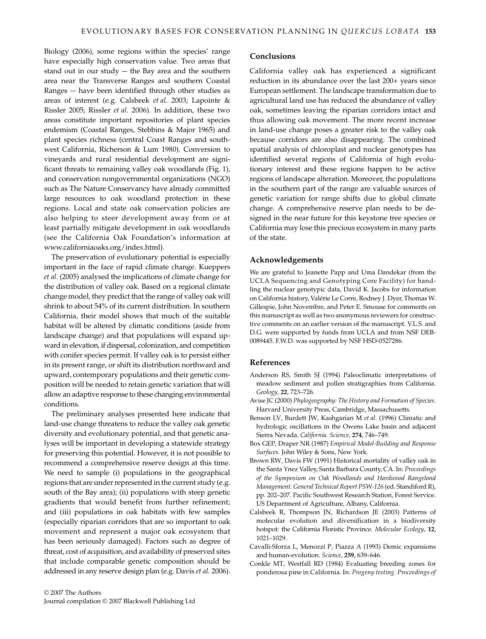Biology (2006), some regions within the species' range have especially high conservation value. Two areas that stand out in our study  $-$  the Bay area and the southern area near the Transverse Ranges and southern Coastal Ranges — have been identified through other studies as areas of interest (e.g. Calsbeek *et al*. 2003; Lapointe & Rissler 2005; Rissler *et al*. 2006). In addition, these two areas constitute important repositories of plant species endemism (Coastal Ranges, Stebbins & Major 1965) and plant species richness (central Coast Ranges and southwest California, Richerson & Lum 1980). Conversion to vineyards and rural residential development are significant threats to remaining valley oak woodlands (Fig. 1), and conservation nongovernmental organizations (NGO) such as The Nature Conservancy have already committed large resources to oak woodland protection in these regions. Local and state oak conservation policies are also helping to steer development away from or at least partially mitigate development in oak woodlands (see the California Oak Foundation's information at [www.californiaoaks.org/index.html\)](http://www.californiaoaks.org/index.html).

The preservation of evolutionary potential is especially important in the face of rapid climate change. Kueppers *et al*. (2005) analysed the implications of climate change for the distribution of valley oak. Based on a regional climate change model, they predict that the range of valley oak will shrink to about 54% of its current distribution. In southern California, their model shows that much of the suitable habitat will be altered by climatic conditions (aside from landscape change) and that populations will expand upward in elevation, if dispersal, colonization, and competition with conifer species permit. If valley oak is to persist either in its present range, or shift its distribution northward and upward, contemporary populations and their genetic composition will be needed to retain genetic variation that will allow an adaptive response to these changing environmental conditions.

The preliminary analyses presented here indicate that land-use change threatens to reduce the valley oak genetic diversity and evolutionary potential, and that genetic analyses will be important in developing a statewide strategy for preserving this potential. However, it is not possible to recommend a comprehensive reserve design at this time. We need to sample (i) populations in the geographical regions that are under represented in the current study (e.g. south of the Bay area); (ii) populations with steep genetic gradients that would benefit from further refinement; and (iii) populations in oak habitats with few samples (especially riparian corridors that are so important to oak movement and represent a major oak ecosystem that has been seriously damaged). Factors such as degree of threat, cost of acquisition, and availability of preserved sites that include comparable genetic composition should be addressed in any reserve design plan (e.g. Davis *et al*. 2006).

## **Conclusions**

California valley oak has experienced a significant reduction in its abundance over the last 200+ years since European settlement. The landscape transformation due to agricultural land use has reduced the abundance of valley oak, sometimes leaving the riparian corridors intact and thus allowing oak movement. The more recent increase in land-use change poses a greater risk to the valley oak because corridors are also disappearing. The combined spatial analysis of chloroplast and nuclear genotypes has identified several regions of California of high evolutionary interest and these regions happen to be active regions of landscape alteration. Moreover, the populations in the southern part of the range are valuable sources of genetic variation for range shifts due to global climate change. A comprehensive reserve plan needs to be designed in the near future for this keystone tree species or California may lose this precious ecosystem in many parts of the state.

#### **Acknowledgements**

We are grateful to Jeanette Papp and Uma Dandekar (from the UCLA Sequencing and Genotyping Core Facility) for handling the nuclear genotypic data, David K. Jacobs for information on California history, Valérie Le Corre, Rodney J. Dyer, Thomas W. Gillespie, John Novembre, and Peter E. Smouse for comments on this manuscript as well as two anonymous reviewers for constructive comments on an earlier version of the manuscript. V.L.S. and D.G. were supported by funds from UCLA and from NSF DEB-0089445. F.W.D. was supported by NSF HSD-0527286.

## **References**

- Anderson RS, Smith SJ (1994) Paleoclimatic interpretations of meadow sediment and pollen stratigraphies from California. *Geology*, **22**, 723–726.
- Avise JC (2000) *Phylogeography: The History and Formation of Species*. Harvard University Press, Cambridge, Massachusetts.
- Benson LV, Burdett JW, Kashgarian M *et al*. (1996) Climatic and hydrologic oscillations in the Owens Lake basin and adjacent Sierra Nevada. *California. Science*, **274**, 746–749.
- Box GEP, Draper NR (1987) *Empirical Model-Building and Response Surfaces*. John Wiley & Sons, New York.
- Brown RW, Davis FW (1991) Historical mortality of valley oak in the Santa Ynez Valley, Santa Barbara County, CA. In: *Proceedings of the Symposium on Oak Woodlands and Hardwood Rangeland Management. General Technical Report PSW-126* (ed. Standiford R), pp. 202–207. Pacific Southwest Research Station, Forest Service. US Department of Agriculture, Albany, California.
- Calsbeek R, Thompson JN, Richardson JE (2003) Patterns of molecular evolution and diversification in a biodiversity hotspot: the California Floristic Province. *Molecular Ecology*, **12**, 1021–1029.
- Cavalli-Sforza L, Menozzi P, Piazza A (1993) Demic expansions and human-evolution. *Science*, **259**, 639–646.
- Conkle MT, Westfall RD (1984) Evaluating breeding zones for ponderosa pine in California. In: *Progeny testing*. *Proceedings of*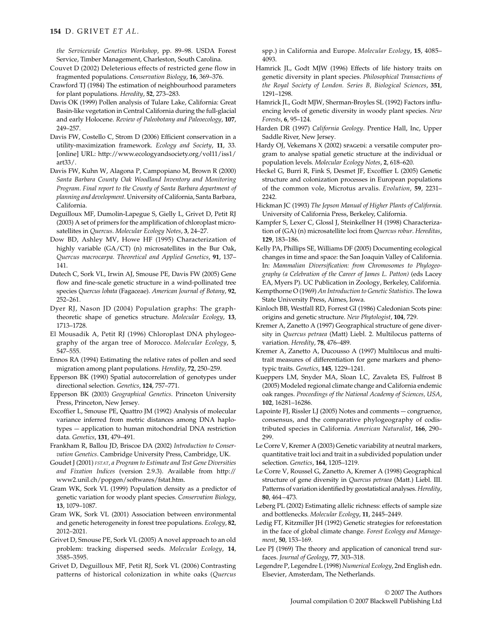#### **154** D. GRIVET *ET AL.*

*the Servicewide Genetics Workshop*, pp. 89–98. USDA Forest Service, Timber Management, Charleston, South Carolina.

- Couvet D (2002) Deleterious effects of restricted gene flow in fragmented populations. *Conservation Biology*, **16**, 369–376.
- Crawford TJ (1984) The estimation of neighbourhood parameters for plant populations. *Heredity*, **52**, 273–283.
- Davis OK (1999) Pollen analysis of Tulare Lake, California: Great Basin-like vegetation in Central California during the full-glacial and early Holocene. *Review of Paleobotany and Paleoecology*, **107**, 249–257.
- Davis FW, Costello C, Strom D (2006) Efficient conservation in a utility-maximization framework. *Ecology and Society*, **11**, 33. [online] URL: [http://www.ecologyandsociety.org/vol11/iss1/](http://www.ecologyandsociety.org/vol11/iss1/art33/) art33/.
- Davis FW, Kuhn W, Alagona P, Campopiano M, Brown R (2000) *Santa Barbara County Oak Woodland Inventory and Monitoring Program*. *Final report to the County of Santa Barbara department of planning and development*. University of California, Santa Barbara, California.

Deguilloux MF, Dumolin-Lapegue S, Gielly L, Grivet D, Petit RJ (2003) A set of primers for the amplification of chloroplast microsatellites in *Quercus*. *Molecular Ecology Notes*, **3**, 24–27.

- Dow BD, Ashley MV, Howe HF (1995) Characterization of highly variable (GA/CT) (n) microsatellites in the Bur Oak, *Quercus macrocarpa. Theoretical and Applied Genetics*, **91**, 137– 141.
- Dutech C, Sork VL, Irwin AJ, Smouse PE, Davis FW (2005) Gene flow and fine-scale genetic structure in a wind-pollinated tree species *Quercus lobata* (Fagaceae). *American Journal of Botany*, **92**, 252–261.
- Dyer RJ, Nason JD (2004) Population graphs: The graphtheoretic shape of genetics structure. *Molecular Ecology*, **13**, 1713–1728.
- El Mousadik A, Petit RJ (1996) Chloroplast DNA phylogeography of the argan tree of Morocco. *Molecular Ecology*, **5**, 547–555.
- Ennos RA (1994) Estimating the relative rates of pollen and seed migration among plant populations. *Heredity*, **72**, 250–259.
- Epperson BK (1990) Spatial autocorrelation of genotypes under directional selection. *Genetics*, **124**, 757–771.
- Epperson BK (2003) *Geographical Genetics*. Princeton University Press, Princeton, New Jersey.
- Excoffier L, Smouse PE, Quattro JM (1992) Analysis of molecular variance inferred from metric distances among DNA haplotypes — application to human mitochondrial DNA restriction data. *Genetics*, **131**, 479–491.
- Frankham R, Ballou JD, Briscoe DA (2002) *Introduction to Conservation Genetics*. Cambridge University Press, Cambridge, UK.
- Goudet J (2001) *FSTAT, a Program to Estimate and Test Gene Diversities and Fixation Indices* (version 2.9.3). Available from http:// [www2.unil.ch/popgen/softwares/fstat.htm.](http://www2.unil.ch/popgen/softwares/fstat.htm)
- Gram WK, Sork VL (1999) Population density as a predictor of genetic variation for woody plant species. *Conservation Biology*, **13**, 1079–1087.
- Gram WK, Sork VL (2001) Association between environmental and genetic heterogeneity in forest tree populations. *Ecology*, **82**, 2012–2021.
- Grivet D, Smouse PE, Sork VL (2005) A novel approach to an old problem: tracking dispersed seeds. *Molecular Ecology*, **14**, 3585–3595.
- Grivet D, Deguilloux MF, Petit RJ, Sork VL (2006) Contrasting patterns of historical colonization in white oaks (*Quercus*

spp.) in California and Europe. *Molecular Ecology*, **15**, 4085– 4093.

- Hamrick JL, Godt MJW (1996) Effects of life history traits on genetic diversity in plant species. *Philosophical Transactions of the Royal Society of London. Series B, Biological Sciences*, **351**, 1291–1298.
- Hamrick JL, Godt MJW, Sherman-Broyles SL (1992) Factors influencing levels of genetic diversity in woody plant species. *New Forests*, **6**, 95–124.
- Harden DR (1997) *California Geology*. Prentice Hall, Inc, Upper Saddle River, New Jersey.
- Hardy OJ, Vekemans X (2002) spacepi: a versatile computer program to analyse spatial genetic structure at the individual or population levels. *Molecular Ecology Notes*, **2**, 618–620.
- Heckel G, Burri R, Fink S, Desmet JF, Excoffier L (2005) Genetic structure and colonization processes in European populations of the common vole, Microtus arvalis. *Evolution*, **59**, 2231– 2242.
- Hickman JC (1993) *The Jepson Manual of Higher Plants of California*. University of California Press, Berkeley, California.
- Kampfer S, Lexer C, Glossl J, Steinkellner H (1998) Characterization of (GA) (n) microsatellite loci from *Quercus robur*. *Hereditas*, **129**, 183–186.
- Kelly PA, Phillips SE, Williams DF (2005) Documenting ecological changes in time and space: the San Joaquin Valley of California. In: *Mammalian Diversification: from Chromosomes to Phylogeography (a Celebration of the Career of James L. Patton)* (eds Lacey EA, Myers P). UC Publication in Zoology, Berkeley, California.
- Kempthorne O (1969) *An Introduction to Genetic Statistics*. The Iowa State University Press, Aimes, Iowa.
- Kinloch BB, Westfall RD, Forrest GI (1986) Caledonian Scots pine: origins and genetic structure. *New Phytologist*, **104**, 729.
- Kremer A, Zanetto A (1997) Geographical structure of gene diversity in *Quercus petraea* (Matt) Liebl. 2. Multilocus patterns of variation. *Heredity*, **78**, 476–489.
- Kremer A, Zanetto A, Ducousso A (1997) Multilocus and multitrait measures of differentiation for gene markers and phenotypic traits. *Genetics*, **145**, 1229–1241.
- Kueppers LM, Snyder MA, Sloan LC, Zavaleta ES, Fulfrost B (2005) Modeled regional climate change and California endemic oak ranges. *Proceedings of the National Academy of Sciences, USA*, **102**, 16281–16286.
- Lapointe FJ, Rissler LJ (2005) Notes and comments congruence, consensus, and the comparative phylogeography of codistributed species in California. *American Naturalist*, **166**, 290– 299.
- Le Corre V, Kremer A (2003) Genetic variability at neutral markers, quantitative trait loci and trait in a subdivided population under selection. *Genetics*, **164**, 1205–1219.
- Le Corre V, Roussel G, Zanetto A, Kremer A (1998) Geographical structure of gene diversity in *Quercus petraea* (Matt.) Liebl. III. Patterns of variation identifiedby geostatistical analyses. *Heredity*, **80**, 464–473.
- Leberg PL (2002) Estimating allelic richness: effects of sample size and bottlenecks. *Molecular Ecology*, **11**, 2445–2449.
- Ledig FT, Kitzmiller JH (1992) Genetic strategies for reforestation in the face of global climate change. *Forest Ecology and Management*, **50**, 153–169.
- Lee PJ (1969) The theory and application of canonical trend surfaces. *Journal of Geology*, **77**, 303–318.
- Legendre P, Legendre L (1998) *Numerical Ecology*, 2nd English edn. Elsevier, Amsterdam, The Netherlands.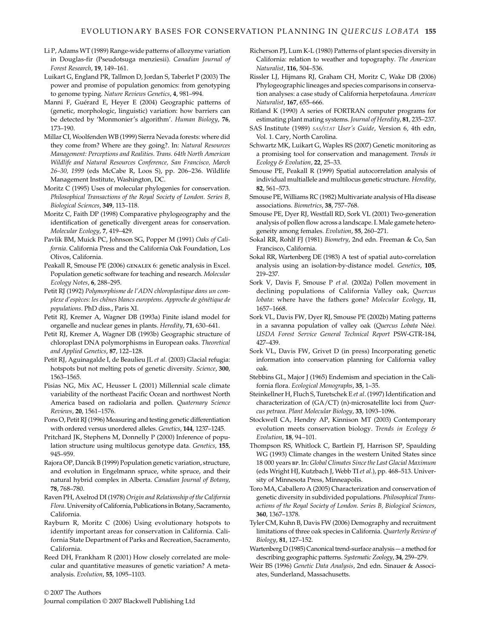- Li P, Adams WT (1989) Range-wide patterns of allozyme variation in Douglas-fir (Pseudotsuga menziesii). *Canadian Journal of Forest Research*, **19**, 149–161.
- Luikart G, England PR, Tallmon D, Jordan S, Taberlet P (2003) The power and promise of population genomics: from genotyping to genome typing. *Nature Reviews Genetics*, **4**, 981–994.
- Manni F, Guérard E, Heyer E (2004) Geographic patterns of (genetic, morphologic, linguistic) variation: how barriers can be detected by 'Monmonier's algorithm'. *Human Biology*, **76**, 173–190.
- Millar CI, Woolfenden WB (1999) Sierra Nevada forests: where did they come from? Where are they going?. In: *Natural Resources Management: Perceptions and Realities. Trans. 64th North American Wildlife and Natural Resources Conference, San Francisco, March 26–30, 1999* (eds McCabe R, Loos S), pp. 206–236. Wildlife Management Institute, Washington, DC.
- Moritz C (1995) Uses of molecular phylogenies for conservation. *Philosophical Transactions of the Royal Society of London. Series B, Biological Sciences*, **349**, 113–118.
- Moritz C, Faith DP (1998) Comparative phylogeography and the identification of genetically divergent areas for conservation. *Molecular Ecology*, **7**, 419–429.
- Pavlik BM, Muick PC, Johnson SG, Popper M (1991) *Oaks of California*. California Press and the California Oak Foundation, Los Olivos, California.
- Peakall R, Smouse PE (2006) GENALEX 6: genetic analysis in Excel. Population genetic software for teaching and research. *Molecular Ecology Notes*, **6**, 288–295.
- Petit RJ (1992) *Polymorphisme de l'ADN chloroplastique dans un complexe d'espèces: les chênes blancs européens. Approche de génétique de populations*. PhD diss., Paris XI.
- Petit RJ, Kremer A, Wagner DB (1993a) Finite island model for organelle and nuclear genes in plants. *Heredity*, **71**, 630–641.
- Petit RJ, Kremer A, Wagner DB (1993b) Geographic structure of chloroplast DNA polymorphisms in European oaks. *Theoretical and Applied Genetics*, **87**, 122–128.
- Petit RJ, Aguinagalde I, de Beaulieu JL *et al*. (2003) Glacial refugia: hotspots but not melting pots of genetic diversity. *Science*, **300**, 1563–1565.
- Pisias NG, Mix AC, Heusser L (2001) Millennial scale climate variability of the northeast Pacific Ocean and northwest North America based on radiolaria and pollen. *Quaternary Science Reviews*, **20**, 1561–1576.
- Pons O, Petit RJ (1996) Measuring and testing genetic differentiation with ordered versus unordered alleles. *Genetics*, **144**, 1237–1245.
- Pritchard JK, Stephens M, Donnelly P (2000) Inference of population structure using multilocus genotype data. *Genetics*, **155**, 945–959.
- Rajora OP, Dancik B (1999) Population genetic variation, structure, and evolution in Engelmann spruce, white spruce, and their natural hybrid complex in Alberta. *Canadian Journal of Botany*, **78**, 768–780.
- Raven PH, Axelrod DI (1978) *Origin and Relationship of the California Flora*. University of California, Publications in Botany, Sacramento, California.
- Rayburn R, Moritz C (2006) Using evolutionary hotspots to identify important areas for conservation in California. California State Department of Parks and Recreation, Sacramento, California.
- Reed DH, Frankham R (2001) How closely correlated are molecular and quantitative measures of genetic variation? A metaanalysis. *Evolution*, **55**, 1095–1103.
- Richerson PJ, Lum K-L (1980) Patterns of plant species diversity in California: relation to weather and topography. *The American Naturalist*, **116**, 504–536.
- Rissler LJ, Hijmans RJ, Graham CH, Moritz C, Wake DB (2006) Phylogeographic lineages and species comparisons in conservation analyses: a case study of California herpetofauna. *American Naturalist*, **167**, 655–666.
- Ritland K (1990) A series of FORTRAN computer programs for estimating plant mating systems. *Journal of Heredity*, **81**, 235–237.
- SAS Institute (1989) *SAS/STAT User's Guide*, Version 6, 4th edn, Vol. 1. Cary, North Carolina.
- Schwartz MK, Luikart G, Waples RS (2007) Genetic monitoring as a promising tool for conservation and management. *Trends in Ecology & Evolution*, **22**, 25–33.
- Smouse PE, Peakall R (1999) Spatial autocorrelation analysis of individual multiallele and multilocus genetic structure. *Heredity*, **82**, 561–573.
- Smouse PE, Williams RC (1982) Multivariate analysis of Hla disease associations. *Biometrics*, **38**, 757–768.
- Smouse PE, Dyer RJ, Westfall RD, Sork VL (2001) Two-generation analysis of pollen flow across a landscape. I. Male gamete heterogeneity among females. *Evolution*, **55**, 260–271.
- Sokal RR, Rohlf FJ (1981) *Biometry*, 2nd edn. Freeman & Co, San Francisco, California.
- Sokal RR, Wartenberg DE (1983) A test of spatial auto-correlation analysis using an isolation-by-distance model. *Genetics*, **105**, 219–237.
- Sork V, Davis F, Smouse P *et al*. (2002a) Pollen movement in declining populations of California Valley oak, *Quercus lobata*: where have the fathers gone? *Molecular Ecology*, **11**, 1657–1668.
- Sork VL, Davis FW, Dyer RJ, Smouse PE (2002b) Mating patterns in a savanna population of valley oak (*Quercus Lobata* Née*). USDA Forest Service General Technical Report* PSW-GTR-184, 427–439.
- Sork VL, Davis FW, Grivet D (in press) Incorporating genetic information into conservation planning for California valley oak.
- Stebbins GL, Major J (1965) Endemism and speciation in the California flora. *Ecological Monographs*, **35**, 1–35.
- Steinkellner H, Fluch S, Turetschek E *et al*. (1997) Identification and characterization of (GA/CT) (n)-microsatellite loci from *Quercus petraea*. *Plant Molecular Biology*, **33**, 1093–1096.
- Stockwell CA, Hendry AP, Kinnison MT (2003) Contemporary evolution meets conservation biology. *Trends in Ecology & Evolution*, **18**, 94–101.
- Thompson RS, Whitlock C, Bartlein PJ, Harrison SP, Spaulding WG (1993) Climate changes in the western United States since 18 000 years bp. In: *Global Climates Sincethe Last Glacial Maximum* (eds Wright HJ, Kutzbach J, Webb TI *et al*.), pp. 468–513. University of Minnesota Press, Minneapolis.
- Toro MA, Caballero A (2005) Characterization and conservation of genetic diversity in subdivided populations. *Philosophical Transactions of the Royal Society of London. Series B, Biological Sciences*, **360**, 1367–1378.
- Tyler CM, Kuhn B, Davis FW (2006) Demography and recruitment limitations of three oak species in California. *Quarterly Review of Biology*, **81**, 127–152.
- Wartenberg  $D(1985)$  Canonical trend-surface analysis a method for describing geographic patterns. *Systematic Zoology*, **34**, 259–279.
- Weir BS (1996) *Genetic Data Analysis*, 2nd edn. Sinauer & Associates, Sunderland, Massachusetts.

© 2007 The Authors Journal compilation © 2007 Blackwell Publishing Ltd